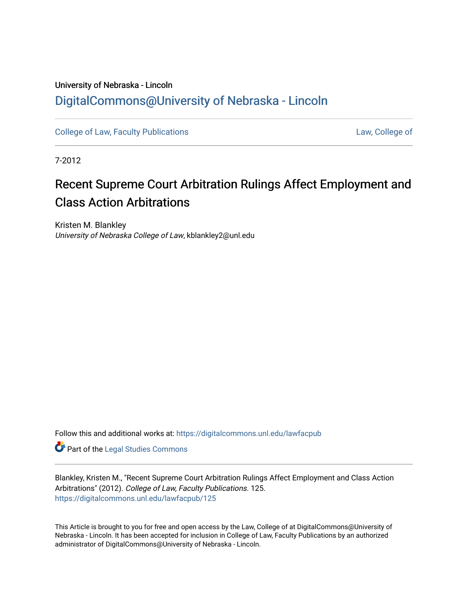# University of Nebraska - Lincoln [DigitalCommons@University of Nebraska - Lincoln](https://digitalcommons.unl.edu/)

[College of Law, Faculty Publications](https://digitalcommons.unl.edu/lawfacpub) [Law, College of](https://digitalcommons.unl.edu/law) Law, College of

7-2012

# Recent Supreme Court Arbitration Rulings Affect Employment and Class Action Arbitrations

Kristen M. Blankley University of Nebraska College of Law, kblankley2@unl.edu

Follow this and additional works at: [https://digitalcommons.unl.edu/lawfacpub](https://digitalcommons.unl.edu/lawfacpub?utm_source=digitalcommons.unl.edu%2Flawfacpub%2F125&utm_medium=PDF&utm_campaign=PDFCoverPages) 

Part of the [Legal Studies Commons](http://network.bepress.com/hgg/discipline/366?utm_source=digitalcommons.unl.edu%2Flawfacpub%2F125&utm_medium=PDF&utm_campaign=PDFCoverPages) 

Blankley, Kristen M., "Recent Supreme Court Arbitration Rulings Affect Employment and Class Action Arbitrations" (2012). College of Law, Faculty Publications. 125. [https://digitalcommons.unl.edu/lawfacpub/125](https://digitalcommons.unl.edu/lawfacpub/125?utm_source=digitalcommons.unl.edu%2Flawfacpub%2F125&utm_medium=PDF&utm_campaign=PDFCoverPages) 

This Article is brought to you for free and open access by the Law, College of at DigitalCommons@University of Nebraska - Lincoln. It has been accepted for inclusion in College of Law, Faculty Publications by an authorized administrator of DigitalCommons@University of Nebraska - Lincoln.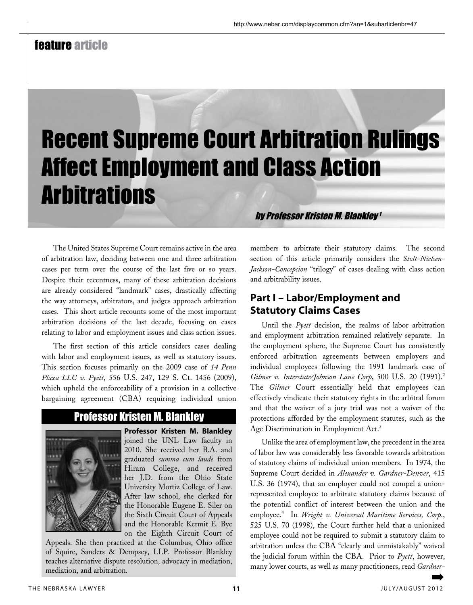# feature article

# Recent Supreme Court Arbitration Rulings Affect Employment and Class Action **Arbitrations**

The United States Supreme Court remains active in the area of arbitration law, deciding between one and three arbitration cases per term over the course of the last five or so years. Despite their recentness, many of these arbitration decisions are already considered "landmark" cases, drastically affecting the way attorneys, arbitrators, and judges approach arbitration cases. This short article recounts some of the most important arbitration decisions of the last decade, focusing on cases relating to labor and employment issues and class action issues.

The first section of this article considers cases dealing with labor and employment issues, as well as statutory issues. This section focuses primarily on the 2009 case of *14 Penn Plaza LLC v. Pyett*, 556 U.S. 247, 129 S. Ct. 1456 (2009), which upheld the enforceability of a provision in a collective bargaining agreement (CBA) requiring individual union

# Professor Kristen M. Blankley



**Professor Kristen M. Blankley**  joined the UNL Law faculty in 2010. She received her B.A. and graduated *summa cum laude* from Hiram College, and received her J.D. from the Ohio State University Mortiz College of Law. After law school, she clerked for the Honorable Eugene E. Siler on the Sixth Circuit Court of Appeals and the Honorable Kermit E. Bye on the Eighth Circuit Court of

Appeals. She then practiced at the Columbus, Ohio office of Squire, Sanders & Dempsey, LLP. Professor Blankley teaches alternative dispute resolution, advocacy in mediation, mediation, and arbitration.

by Professor Kristen M. Blankley <sup>1</sup>

members to arbitrate their statutory claims. The second section of this article primarily considers the *Stolt-Nielsen-Jackson-Concepcion* "trilogy" of cases dealing with class action and arbitrability issues.

## **Part I – Labor/Employment and Statutory Claims Cases**

Until the *Pyett* decision, the realms of labor arbitration and employment arbitration remained relatively separate. In the employment sphere, the Supreme Court has consistently enforced arbitration agreements between employers and individual employees following the 1991 landmark case of *Gilmer v. Interstate/Johnson Lane Corp*, 500 U.S. 20 (1991).2 The *Gilmer* Court essentially held that employees can effectively vindicate their statutory rights in the arbitral forum and that the waiver of a jury trial was not a waiver of the protections afforded by the employment statutes, such as the Age Discrimination in Employment Act.3

Unlike the area of employment law, the precedent in the area of labor law was considerably less favorable towards arbitration of statutory claims of individual union members. In 1974, the Supreme Court decided in *Alexander v. Gardner-Denver*, 415 U.S. 36 (1974), that an employer could not compel a unionrepresented employee to arbitrate statutory claims because of the potential conflict of interest between the union and the employee.4 In *Wright v. Universal Maritime Services, Corp.*, 525 U.S. 70 (1998), the Court further held that a unionized employee could not be required to submit a statutory claim to arbitration unless the CBA "clearly and unmistakably" waived the judicial forum within the CBA. Prior to *Pyett*, however, many lower courts, as well as many practitioners, read *Gardner-*➡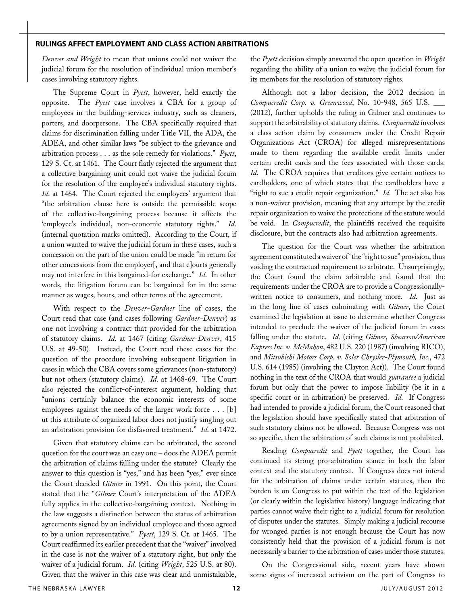#### **rulings affect employment and class action arbitrations**

*Denver and Wright* to mean that unions could not waiver the judicial forum for the resolution of individual union member's cases involving statutory rights.

The Supreme Court in *Pyett*, however, held exactly the opposite. The *Pyett* case involves a CBA for a group of employees in the building-services industry, such as cleaners, porters, and doorpersons. The CBA specifically required that claims for discrimination falling under Title VII, the ADA, the ADEA, and other similar laws "be subject to the grievance and arbitration process . . . as the sole remedy for violations." *Pyett*, 129 S. Ct. at 1461. The Court flatly rejected the argument that a collective bargaining unit could not waive the judicial forum for the resolution of the employee's individual statutory rights. *Id*. at 1464. The Court rejected the employees' argument that "the arbitration clause here is outside the permissible scope of the collective-bargaining process because it affects the 'employee's individual, non-economic statutory rights." *Id*. (internal quotation marks omitted). According to the Court, if a union wanted to waive the judicial forum in these cases, such a concession on the part of the union could be made "in return for other concessions from the employer[, and that c]ourts generally may not interfere in this bargained-for exchange." *Id*. In other words, the litigation forum can be bargained for in the same manner as wages, hours, and other terms of the agreement.

With respect to the *Denver-Gardner* line of cases, the Court read that case (and cases following *Gardner-Denver*) as one not involving a contract that provided for the arbitration of statutory claims. *Id*. at 1467 (citing *Gardner-Denver*, 415 U.S. at 49-50). Instead, the Court read these cases for the question of the procedure involving subsequent litigation in cases in which the CBA covers some grievances (non-statutory) but not others (statutory claims). *Id*. at 1468-69. The Court also rejected the conflict-of-interest argument, holding that "unions certainly balance the economic interests of some employees against the needs of the larger work force . . . [b] ut this attribute of organized labor does not justify singling out an arbitration provision for disfavored treatment." *Id*. at 1472.

Given that statutory claims can be arbitrated, the second question for the court was an easy one – does the ADEA permit the arbitration of claims falling under the statute? Clearly the answer to this question is "yes," and has been "yes," ever since the Court decided *Gilmer* in 1991. On this point, the Court stated that the "*Gilmer* Court's interpretation of the ADEA fully applies in the collective-bargaining context. Nothing in the law suggests a distinction between the status of arbitration agreements signed by an individual employee and those agreed to by a union representative." *Pyett*, 129 S. Ct. at 1465. The Court reaffirmed its earlier precedent that the "waiver" involved in the case is not the waiver of a statutory right, but only the waiver of a judicial forum. *Id*. (citing *Wright*, 525 U.S. at 80). Given that the waiver in this case was clear and unmistakable,

the *Pyett* decision simply answered the open question in *Wright* regarding the ability of a union to waive the judicial forum for its members for the resolution of statutory rights.

Although not a labor decision, the 2012 decision in *Compucredit Corp. v. Greenwood*, No. 10-948, 565 U.S. \_\_\_ (2012), further upholds the ruling in Gilmer and continues to support the arbitrability of statutory claims. *Compucredit* involves a class action claim by consumers under the Credit Repair Organizations Act (CROA) for alleged misrepresentations made to them regarding the available credit limits under certain credit cards and the fees associated with those cards. *Id*. The CROA requires that creditors give certain notices to cardholders, one of which states that the cardholders have a "right to sue a credit repair organization." *Id*. The act also has a non-waiver provision, meaning that any attempt by the credit repair organization to waive the protections of the statute would be void. In *Compucredit*, the plaintiffs received the requisite disclosure, but the contracts also had arbitration agreements.

The question for the Court was whether the arbitration agreement constituted a waiver of `the "right to sue" provision, thus voiding the contractual requirement to arbitrate. Unsurprisingly, the Court found the claim arbitrable and found that the requirements under the CROA are to provide a Congressionallywritten notice to consumers, and nothing more. *Id*. Just as in the long line of cases culminating with *Gilmer*, the Court examined the legislation at issue to determine whether Congress intended to preclude the waiver of the judicial forum in cases falling under the statute. *Id*. (citing *Gilmer*, *Shearson/American Express Inc. v. McMahon*, 482 U.S. 220 (1987) (involving RICO), and *Mitsubishi Motors Corp. v. Soler Chrysler-Plymouth, Inc.*, 472 U.S. 614 (1985) (involving the Clayton Act)). The Court found nothing in the text of the CROA that would *guarantee* a judicial forum but only that the power to impose liability (be it in a specific court or in arbitration) be preserved. *Id*. If Congress had intended to provide a judicial forum, the Court reasoned that the legislation should have specifically stated that arbitration of such statutory claims not be allowed. Because Congress was not so specific, then the arbitration of such claims is not prohibited.

Reading *Compucredit* and *Pyett* together, the Court has continued its strong pro-arbitration stance in both the labor context and the statutory context. If Congress does not intend for the arbitration of claims under certain statutes, then the burden is on Congress to put within the text of the legislation (or clearly within the legislative history) language indicating that parties cannot waive their right to a judicial forum for resolution of disputes under the statutes. Simply making a judicial recourse for wronged parties is not enough because the Court has now consistently held that the provision of a judicial forum is not necessarily a barrier to the arbitration of cases under those statutes.

On the Congressional side, recent years have shown some signs of increased activism on the part of Congress to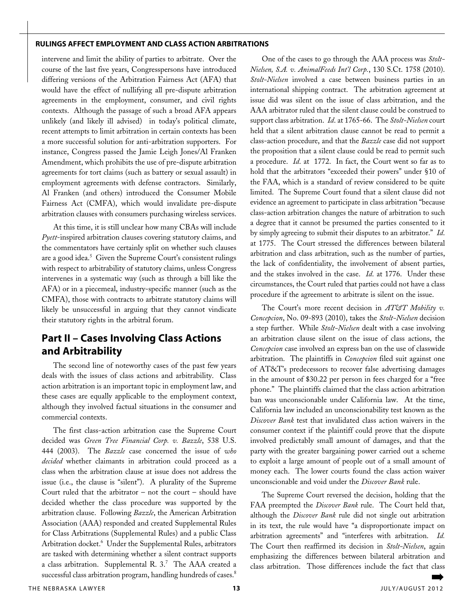#### **rulings affect employment and class action arbitrations**

intervene and limit the ability of parties to arbitrate. Over the course of the last five years, Congresspersons have introduced differing versions of the Arbitration Fairness Act (AFA) that would have the effect of nullifying all pre-dispute arbitration agreements in the employment, consumer, and civil rights contexts. Although the passage of such a broad AFA appears unlikely (and likely ill advised) in today's political climate, recent attempts to limit arbitration in certain contexts has been a more successful solution for anti-arbitration supporters. For instance, Congress passed the Jamie Leigh Jones/Al Franken Amendment, which prohibits the use of pre-dispute arbitration agreements for tort claims (such as battery or sexual assault) in employment agreements with defense contractors. Similarly, Al Franken (and others) introduced the Consumer Mobile Fairness Act (CMFA), which would invalidate pre-dispute arbitration clauses with consumers purchasing wireless services.

At this time, it is still unclear how many CBAs will include *Pyett*-inspired arbitration clauses covering statutory claims, and the commentators have certainly split on whether such clauses are a good idea.<sup>5</sup> Given the Supreme Court's consistent rulings with respect to arbitrability of statutory claims, unless Congress intervenes in a systematic way (such as through a bill like the AFA) or in a piecemeal, industry-specific manner (such as the CMFA), those with contracts to arbitrate statutory claims will likely be unsuccessful in arguing that they cannot vindicate their statutory rights in the arbitral forum.

## **Part II – Cases Involving Class Actions and Arbitrability**

The second line of noteworthy cases of the past few years deals with the issues of class actions and arbitrability. Class action arbitration is an important topic in employment law, and these cases are equally applicable to the employment context, although they involved factual situations in the consumer and commercial contexts.

The first class-action arbitration case the Supreme Court decided was *Green Tree Financial Corp. v. Bazzle*, 538 U.S. 444 (2003). The *Bazzle* case concerned the issue of *who decided* whether claimants in arbitration could proceed as a class when the arbitration clause at issue does not address the issue (i.e., the clause is "silent"). A plurality of the Supreme Court ruled that the arbitrator – not the court – should have decided whether the class procedure was supported by the arbitration clause. Following *Bazzle*, the American Arbitration Association (AAA) responded and created Supplemental Rules for Class Arbitrations (Supplemental Rules) and a public Class Arbitration docket.<sup>6</sup> Under the Supplemental Rules, arbitrators are tasked with determining whether a silent contract supports a class arbitration. Supplemental R. 3.7 The AAA created a successful class arbitration program, handling hundreds of cases.<sup>8</sup>

One of the cases to go through the AAA process was *Stolt-Nielsen, S.A. v. AnimalFeeds Int'l Corp.*, 130 S.Ct. 1758 (2010). *Stolt-Nielsen* involved a case between business parties in an international shipping contract. The arbitration agreement at issue did was silent on the issue of class arbitration, and the AAA arbitrator ruled that the silent clause could be construed to support class arbitration. *Id*. at 1765-66. The *Stolt-Nielsen* court held that a silent arbitration clause cannot be read to permit a class-action procedure, and that the *Bazzle* case did not support the proposition that a silent clause could be read to permit such a procedure. *Id*. at 1772. In fact, the Court went so far as to hold that the arbitrators "exceeded their powers" under §10 of the FAA, which is a standard of review considered to be quite limited. The Supreme Court found that a silent clause did not evidence an agreement to participate in class arbitration "because class-action arbitration changes the nature of arbitration to such a degree that it cannot be presumed the parties consented to it by simply agreeing to submit their disputes to an arbitrator." *Id*. at 1775. The Court stressed the differences between bilateral arbitration and class arbitration, such as the number of parties, the lack of confidentiality, the involvement of absent parties, and the stakes involved in the case. *Id*. at 1776. Under these circumstances, the Court ruled that parties could not have a class procedure if the agreement to arbitrate is silent on the issue.

The Court's more recent decision in *AT&T Mobility v. Concepcion*, No. 09-893 (2010), takes the *Stolt-Nielsen* decision a step further. While *Stolt-Nielsen* dealt with a case involving an arbitration clause silent on the issue of class actions, the *Concepcion* case involved an express ban on the use of classwide arbitration. The plaintiffs in *Concepcion* filed suit against one of AT&T's predecessors to recover false advertising damages in the amount of \$30.22 per person in fees charged for a "free phone." The plaintiffs claimed that the class action arbitration ban was unconscionable under California law. At the time, California law included an unconscionability test known as the *Discover Bank* test that invalidated class action waivers in the consumer context if the plaintiff could prove that the dispute involved predictably small amount of damages, and that the party with the greater bargaining power carried out a scheme to exploit a large amount of people out of a small amount of money each. The lower courts found the class action waiver unconscionable and void under the *Discover Bank* rule.

The Supreme Court reversed the decision, holding that the FAA preempted the *Discover Bank* rule. The Court held that, although the *Discover Bank* rule did not single out arbitration in its text, the rule would have "a disproportionate impact on arbitration agreements" and "interferes with arbitration. *Id.* The Court then reaffirmed its decision in *Stolt-Nielsen*, again emphasizing the differences between bilateral arbitration and class arbitration. Those differences include the fact that class ➡